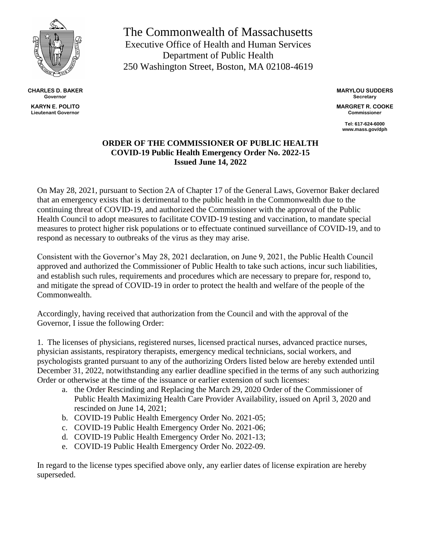

**CHARLES D. BAKER Governor KARYN E. POLITO**

**Lieutenant Governor**

The Commonwealth of Massachusetts Executive Office of Health and Human Services Department of Public Health 250 Washington Street, Boston, MA 02108-4619

> **MARYLOU SUDDERS Secretary**

**MARGRET R. COOKE Commissioner**

> **Tel: 617-624-6000 www.mass.gov/dph**

## **ORDER OF THE COMMISSIONER OF PUBLIC HEALTH COVID-19 Public Health Emergency Order No. 2022-15 Issued June 14, 2022**

On May 28, 2021, pursuant to Section 2A of Chapter 17 of the General Laws, Governor Baker declared that an emergency exists that is detrimental to the public health in the Commonwealth due to the continuing threat of COVID-19, and authorized the Commissioner with the approval of the Public Health Council to adopt measures to facilitate COVID-19 testing and vaccination, to mandate special measures to protect higher risk populations or to effectuate continued surveillance of COVID-19, and to respond as necessary to outbreaks of the virus as they may arise.

Consistent with the Governor's May 28, 2021 declaration, on June 9, 2021, the Public Health Council approved and authorized the Commissioner of Public Health to take such actions, incur such liabilities, and establish such rules, requirements and procedures which are necessary to prepare for, respond to, and mitigate the spread of COVID-19 in order to protect the health and welfare of the people of the Commonwealth.

Accordingly, having received that authorization from the Council and with the approval of the Governor, I issue the following Order:

1. The licenses of physicians, registered nurses, licensed practical nurses, advanced practice nurses, physician assistants, respiratory therapists, emergency medical technicians, social workers, and psychologists granted pursuant to any of the authorizing Orders listed below are hereby extended until December 31, 2022, notwithstanding any earlier deadline specified in the terms of any such authorizing Order or otherwise at the time of the issuance or earlier extension of such licenses:

- a. the Order Rescinding and Replacing the March 29, 2020 Order of the Commissioner of Public Health Maximizing Health Care Provider Availability, issued on April 3, 2020 and rescinded on June 14, 2021;
- b. COVID-19 Public Health Emergency Order No. 2021-05;
- c. COVID-19 Public Health Emergency Order No. 2021-06;
- d. COVID-19 Public Health Emergency Order No. 2021-13;
- e. COVID-19 Public Health Emergency Order No. 2022-09.

In regard to the license types specified above only, any earlier dates of license expiration are hereby superseded.